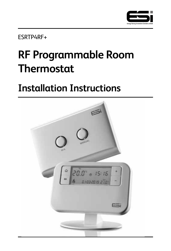

ESRTP4RF+

# **RF Programmable Room Thermostat**

## **Installation Instructions**

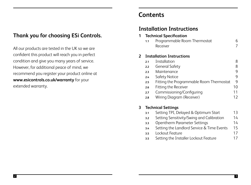### **Thank you for choosing ESi Controls.**

All our products are tested in the UK so we are confident this product will reach you in perfect condition and give you many years of service. However, for additional peace of mind, we recommend you register your product online at **www.esicontrols.co.uk/warranty** for your extended warranty.

### **Contents**

### **Installation Instructions**

| 1 | <b>Technical Specification</b> |                                          |    |  |
|---|--------------------------------|------------------------------------------|----|--|
|   | 1.1                            | Programmable Room Thermostat             | 6  |  |
|   |                                | Receiver                                 |    |  |
| 2 |                                | <b>Installation Instructions</b>         |    |  |
|   | 21                             | Installation                             | 8  |  |
|   | 2.2                            | General Safety                           | ጸ  |  |
|   | 2.3                            | Maintenance                              | 9  |  |
|   | 2.4                            | Safety Notice                            | q  |  |
|   | 2.5                            | Fitting the Programmable Room Thermostat | 9  |  |
|   | 2.6                            | Fitting the Receiver                     | 10 |  |
|   | 2.7                            | Commissioning/Configuring                | 11 |  |
|   | 2.8                            | Wiring Diagram (Receiver)                | 12 |  |
|   |                                |                                          |    |  |

#### **3 Technical Settings**

| 3.1 | Setting TPI, Delayed & Optimum Start       | 13 |
|-----|--------------------------------------------|----|
| 3.2 | Setting Sensitivity/Swing and Calibration  | 14 |
| 3.3 | Opentherm Parameter Settings               | 14 |
| 3.4 | Setting the Landlord Service & Time Events | 15 |
| 3.5 | Lockout Feature                            | 17 |
| 3.5 | Setting the Installer Lockout Feature      | 17 |
|     |                                            |    |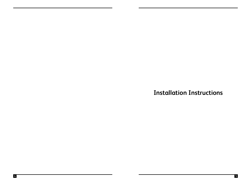**Installation Instructions**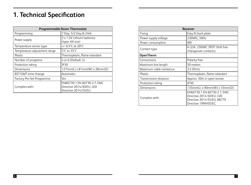## **1. Technical Specification**

| <b>Programmable Room Thermostat</b> |                                                                                  |  |  |
|-------------------------------------|----------------------------------------------------------------------------------|--|--|
| Programming                         | 7 Day, 5/2 Day & 24Hr                                                            |  |  |
| Power supply                        | 2 x 1.5V Lithium batteries<br>(type: AA size)                                    |  |  |
| Temperature sensor type             | +/- 0.5°C at 20°C                                                                |  |  |
| Temperature adjustment range        | 5°C to 35°C                                                                      |  |  |
| Plastic                             | Thermoplastic, flame retardant                                                   |  |  |
| Number of programs                  | 4 or 6 (Default: 4)                                                              |  |  |
| Protection rating                   | <b>IP30</b>                                                                      |  |  |
| Dimensions                          | 127mm(L) x 81mm(W) x 28mm(D)                                                     |  |  |
| <b>BST/GMT</b> time change          | Automatic                                                                        |  |  |
| Factory Pre-Set Programme           | Yes                                                                              |  |  |
| Complies with:                      | EN60730-1 EN 60730-2.7. EMC<br>Directive 2014/30/EU, LVD<br>Directive 2014/35/EU |  |  |

| <b>Receiver</b>          |                                                                                                                  |  |  |
|--------------------------|------------------------------------------------------------------------------------------------------------------|--|--|
| Fixing                   | Easy fit back plate                                                                                              |  |  |
| Power supply voltage     | 230VAC, 50Hz                                                                                                     |  |  |
| Power consumption        | 6W                                                                                                               |  |  |
| Contact type             | 6 (2)A. 230VAC SPDT (Volt free<br>changeover contacts)                                                           |  |  |
| OpenTherm                |                                                                                                                  |  |  |
| Connections              | Polarity free                                                                                                    |  |  |
| Maximum line length      | 50 meters                                                                                                        |  |  |
| Maximum cable resistance | 2.5 Ohms                                                                                                         |  |  |
| Plastic                  | Thermoplastic, flame retardant                                                                                   |  |  |
| Transmission distance    | Approx. 30m in open terrain                                                                                      |  |  |
| Protection rating        | <b>IP30</b>                                                                                                      |  |  |
| Dimensions               | 135mm(L) x 90mm(W) x 33mm(D)                                                                                     |  |  |
| Complies with:           | EN60730-1 EN 60730-2.7. EMC<br>Directive 2014/30/EU, LVD<br>Directive 2014/35/EU, R&TTE<br>Directive 1999/05/EC. |  |  |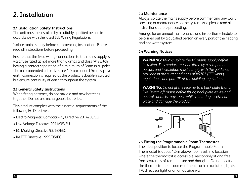## **2. Installation**

#### **2.1 Installation Safety Instructions**

The unit must be installed by a suitably qualified person in accordance with the latest IEE Wiring Regulations.

Isolate mains supply before commencing installation. Please read all instructions before proceeding.

Ensure that the fixed wiring connections to the mains supply is via a fuse rated at not more than 6 amps and class 'A' switch having a contact separation of a minimum of 3mm in all poles. The recommended cable sizes are 1.0mm sqr or 1.5mm sqr. No earth connection is required as the product is double insulated but ensure continuity of earth throughout the system.

#### **2.2 General Safety Instructions**

When fitting batteries, do not mix old and new batteries together. Do not use rechargeable batteries.

This product complies with the essential requirements of the following EC Directives:

- Electro-Magnetic Compatibility Directive 2014/30/EU
- Low Voltage Directive 2014/35/EU
- EC Marking Directive 93/68/EEC
- R&TTE Directive 1999/05/EC

#### **2.3 Maintenance**

Always isolate the mains supply before commencing any work, servicing or maintenance on the system. And please read all instructions before proceeding.

Arrange for an annual maintenance and inspection schedule to be carried out by a qualified person on every part of the heating and hot water system.

#### **2.4 Warning Notices**

**WARNING:** *Always isolate the AC mains supply before installing. This product must be fitted by a competent person, and installation must comply with the guidance provided in the current editions of BS767 (IEE wiring regulations) and part "P" of the building regulations.*

**WARNING:** *Do not fit the receiver to a back plate that is live. Switch off mains before fitting back plate as live and neutral contacts may touch while mounting receiver on plate and damage the product.*



**2.5 Fitting the Programmable Room Thermostat**

The ideal position to locate the Programmable Room Thermostat is about 1.5m above floor level, in a location where the thermostat is accessible, reasonably lit and free from extremes of temperature and draughts. Do not position the thermostat near sources of heat, such as radiators, lights, TV, direct sunlight or on an outside wall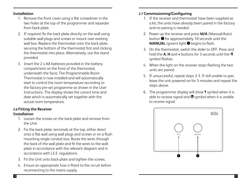#### **Installation**

- 1. Remove the front cover using a flat screwdriver in the two holes at the top of the programmer and separate from back plate.
- 2. If required, fix the back plate directly on the wall using suitable wall plugs and screws or mount over existing wall box. Replace the thermostat onto the back plate, securing the bottom of the thermostat first and clicking the thermostat into place. Alternatively, use the stand provided.
- 3. Insert the 2 x AA batteries provided in the battery compartment on the front of the thermostat, underneath the facia. The Programmable Room Thermostat is now installed and will automatically start to control the room temperature according to the factory pre-set programme as shown in the User Instructions. The display shows the correct time and date which is automatically set together with the actual room temperature.

#### **2.6 Fitting the Receiver Installation**

- 1. Loosen the screws on the back-plate and remove from the Unit.
- 2. Fix the back-plate, terminals at the top, either direct onto a flat wall using wall plugs and screws or on a flush mounting single conduit box. Route the wires through the back of the wall plate and fit the wires to the wallplate in accordance with the relevant diagram and in accordance with I.E.E. regulations.
- 3. Fit the Unit onto back-plate and tighten the screws.
- 4. Ensure an appropriate fuse is fitted to the circuit before reconnecting to the mains supply.

#### **2.7 Commissioning/Configuring**

- 1. If the receiver and thermostat have been supplied as a kit, the units have already been paired in the factory and no pairing is needed.
- 2. Power up the receiver and press **M/A** (Manual/Auto) button  $\bullet$  for approximately 10 seconds until the **MANUAL** (green) light **@** begins to flash.
- 3. On the thermostat, switch the slider to OFF. Press and hold the **A**, **H** and **+** buttons for 3 seconds until the symbol flashes.
- 4. When the light on the receiver stops flashing the two units are paired.
- 5. If unsuccessful, repeat steps 2-3. If still unable to pair, leave the unit powered on for 5 minutes and repeat the steps above.
- 6. The programmer display will show  $\mathbf y$  symbol when it is able to receive signal and  $\mathfrak G$  symbol when it is unable to receive signal.

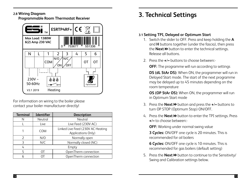#### **2.8 Wiring Diagram**

**Programmable Room Thermostat Receiver**



For information on wiring to the boiler please contact your boiler manufacturer directly!

| Terminal | Identifier | <b>Description</b>                                      |  |  |
|----------|------------|---------------------------------------------------------|--|--|
|          | Neutral    | Neutral                                                 |  |  |
|          | Live       | Live Feed (230V AC)                                     |  |  |
|          | <b>COM</b> | Linked Live Feed (230V AC Heating<br>Applications Only) |  |  |
| N/O      |            | Normally open                                           |  |  |
| २        | N/C        | Normally closed (NC)                                    |  |  |
|          | Empty      |                                                         |  |  |
| 5        | OТ         | OpenTherm connection                                    |  |  |
|          | ا ( )      | OpenTherm connection                                    |  |  |

## **3. Technical Settings**

#### **3.1 Setting TPI, Delayed or Optimum Start**

- 1. Switch the slider to OFF. Press and keep holding the **A** and **H** buttons together (under the fascia), then press the **Next >>** button to enter the technical settings. Release all buttons.
- 2. Press the **+**/**–** buttons to choose between:-

**OFF:** The programme will run according to settings

 **DS (dL StAr DS):** When ON, the programmer will run in Delayed Start mode. The start of the next programme may be delayed up to 45 minutes depending on the room temperature

 **OS (OP StAr OS):** When ON, the programmer will run in Optimum Start mode

- 3. Press the **Next** button and press the **+**/**–** buttons to turn OP STOP (Optimum Stop) ON/OFF.
- 4. Press the **Next >>** button to enter the TPI settings. Press **+**/**–** to choose between:-

**OFF:** Working under normal swing value

 **3 Cycles:** ON/OFF one cycle is 20 minutes. This is recommended for oil boilers

 **6 Cycles:** ON/OFF one cycle is 10 minutes. This is recommended for gas boilers (default setting)

5. Press the **Next >>** button to continue to the Sensitivity/ Swing and Calibration settings below.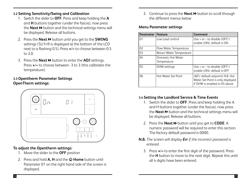#### **3.2 Setting Sensitivity/Swing and Calibration**

- 1. Switch the slider to **OFF**. Press and keep holding the **A** and **H** buttons together (under the fascia), now press the **Next**  $\rightarrow$  button and the technical settings menu will be displayed. Release all buttons.
- 2. Press the **Next >>** button until you get to the **SWING** settings (5U1n9 is displayed at the bottom of the LCD next to a flashing 0.5). Press **+**/**–** to choose between 0.5 to  $2.0$
- 3. Press the **Next >>** button to enter the **ADJ** settings. Press **+**/**–** to choose between -3 to 3 (this calibrates the temperature).

#### **3.3 Opentherm Parameter Settings OpenTherm settings:**



#### **To adjust the Opentherm settings:**

- 1. Move the slider to the **OFF** position
- 2. Press and hold **A, H** and the **A Home** button until Parameter 01 on the right-hand side of the screen is displayed.

3. Continue to press the **Next >>** button to scroll through the different menus below

#### **Menu Parameter settings**

| Parameter      | Feature                           | Comment                                                                                                |
|----------------|-----------------------------------|--------------------------------------------------------------------------------------------------------|
| 01             | Low Load control                  | Use + or $-$ to disable (OFF) /<br>enable (ON). default is ON.                                         |
| 0 <sub>2</sub> | Flow Water Temperature            |                                                                                                        |
| 03             | Return Water Temperature          |                                                                                                        |
| 04             | Domestic Hot Water<br>Temperature |                                                                                                        |
| 05             | DHW settings                      | Use + or $-$ to disable (OFF) /<br>enable (ON). default is OFF                                         |
| 06             | Hot Water Set Point               | (60°c default setpoint) N.B. Hot<br>Water Set Point is only displayed<br>if DHW is enabled in 05 above |

#### **3.4 Setting the Landlord Service & Time Events**

- 1. Switch the slider to **OFF**. Press and keep holding the A and H buttons together (under the fascia), now press the **Next >>** button and the technical settings menu will be displayed. Release all buttons.
- 2. Press the **Next >>** button until you get to **CODE**. A numeric password will be required to enter this section. The factory default password is 0000.
- **N.B.** *The screen will display Err if the incorrect password is entered.*
	- 3. Press **+**/**–** to enter the first digit of the password. Press the **H** button to move to the next digit. Repeat this until all 4 digits have been entered.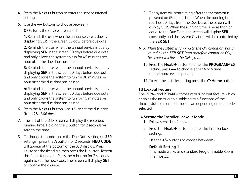- 4. Press the **Next** button to enter the service interval settings.
- 5. Use the **+**/**–** buttons to choose between:-

**OFF:** Turns the service interval off

 **1:** Reminds the user when the annual service is due by displaying **SER** in the screen 30 days before due date

 **2:** Reminds the user when the annual service is due by displaying **SER** in the screen 30 days before due date and only allows the system to run for 45 minutes per hour after the due date has passed

 **3:** Reminds the user when the annual service is due by displaying **SER** in the screen 30 days before due date and only allows the system to run for 30 minutes per hour after the due date has passed

 **4:** Reminds the user when the annual service is due by displaying **SER** in the screen 30 days before due date and only allows the system to run for 15 minutes per hour after the due date has passed

- 6. Press the **Next** button. Use **+**/**–** to set the due date (from 28 - 366 days).
- 7. The left of the LCD screen will display the recorded running time. Holding the **C** button for 2 seconds will zero to the time.
- 8. To change the code, go to the Due Date setting (in **SER** settings), press the **A** button for 2 seconds. **NEU CODE** will appear at the bottom of the LCD display. Press **+**/**–** to set the first digit, then press the **H** button. Repeat this for all four digits. Press the **A** button for 2 seconds again to set the new code. The screen will display **SET** to confirm the change.
- 9. The system will start timing after the thermostat is powered on (Running Time). When the running time reaches 30 days from the Due Date, the screen will display **SER**. When the running time is more than or equal to the Due Date, the screen will display **SER** constantly and the system ON time will be controlled by the **SER SET**.
- **N.B.** *When the system is running to the ON condition, but is limited by the SER SET (and therefore cannot be ON), the screen will flash the ON symbol.*
	- 10. Press the **Next bb** button to enter the **PROGRAMMES** setting, press **+**/**–** to choose either 4 or 6 time temperature events per day.
	- 11. To exit the installer setting press the  $\Omega$  **Home** button.

#### **3.5 Lockout Feature:**

The RTP4+ and RTP4RF+ comes with a lockout feature which enables the installer to disable certain functions of the thermostat to a complete lockdown depending on the mode selected.

#### **3.6 Setting the Installer Lockout Mode**

- 1. Follow steps 1 to 4 above
- 2. Press the **Next >>** button to enter the installer lock settings.
- 3. Use the **+/–** buttons to choose between: -

### **Default Setting 1**

This mode works as a standard Programmable Room Thermostat.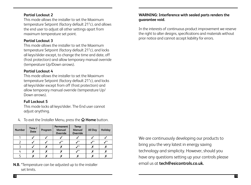#### **Partial Lockout 2**

This mode allows the installer to set the Maximum temperature Setpoint (factory default 21°c), and allows the end user to adjust all other settings apart from maximum temperature set point.

#### **Partial Lockout 3**

This mode allows the installer to set the Maximum temperature Setpoint (factory default 21°c), and locks all keys/slider except, to change the time and date, off (frost protection) and allow temporary manual override (temperature Up/Down arrows).

#### **Partial Lockout 4**

This mode allows the installer to set the Maximum temperature Setpoint (factory default 21°c), and locks all keys/slider except from off (frost protection) and allow temporary manual override (temperature Up/ Down arrows).

#### **Full Lockout 5**

This mode locks all keys/slider. The End user cannot adjust anything.

4. To exit the Installer Menu, press the  $\Omega$  Home button.

| <b>Number</b> | Time /<br>Date | Program | Permanent<br>Manual<br>Override | <b>Temp</b><br>Manual<br>Override | All Day | Holiday |
|---------------|----------------|---------|---------------------------------|-----------------------------------|---------|---------|
|               |                |         |                                 |                                   |         |         |
|               |                |         |                                 |                                   |         |         |
|               |                |         |                                 |                                   |         |         |
|               |                |         |                                 |                                   |         |         |
|               |                |         |                                 |                                   |         |         |

**N.B.** \*Temperature can be adjusted up to the installer set limits.

#### **WARNING: Interference with sealed parts renders the guarantee void.**

In the interests of continuous product improvement we reserve the right to alter designs, specifications and materials without prior notice and cannot accept liability for errors.

We are continuously developing our products to bring you the very latest in energy saving technology and simplicity. However, should you have any questions setting up your controls please email us at **tech@esicontrols.co.uk.**